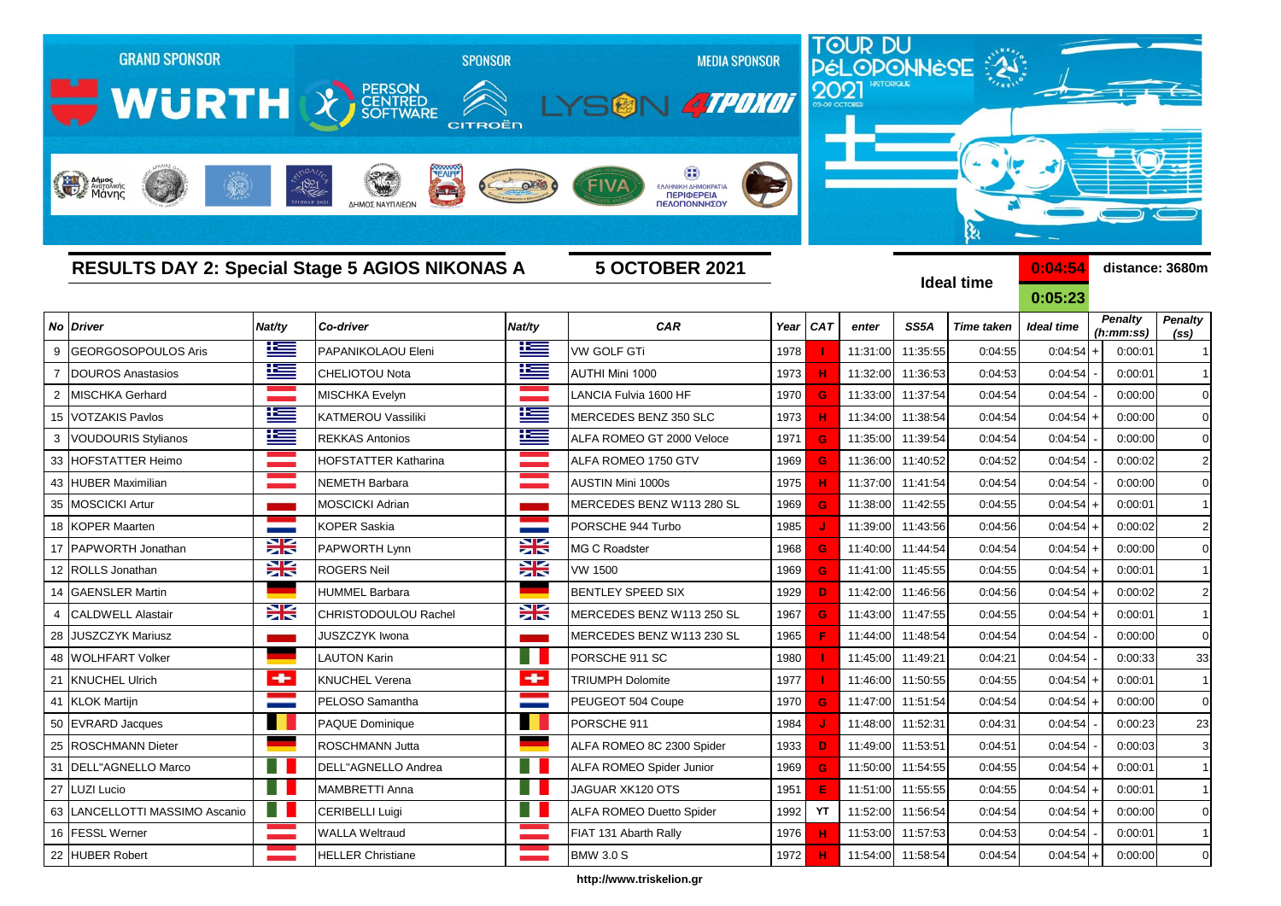

**http://www.triskelion.gr**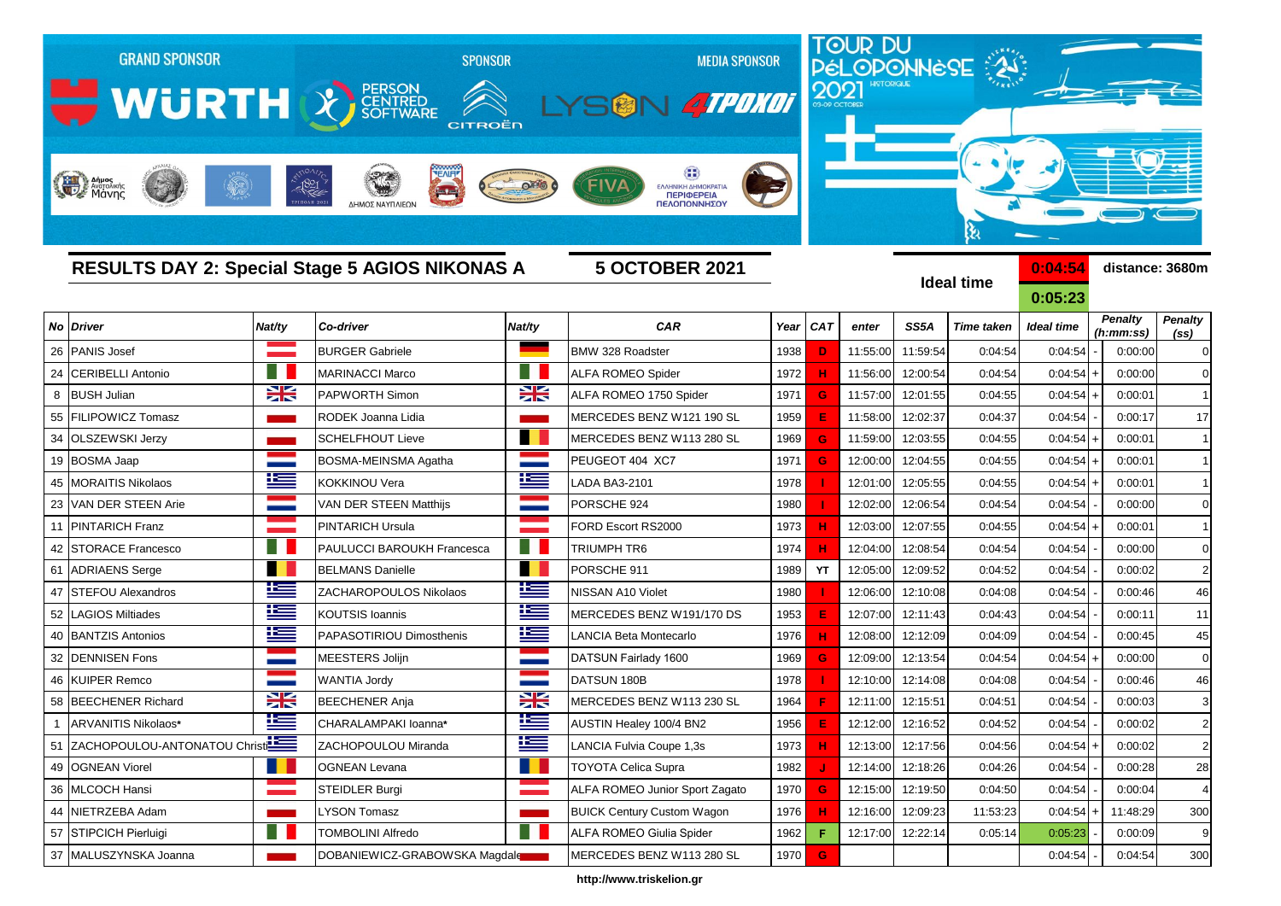

**http://www.triskelion.gr**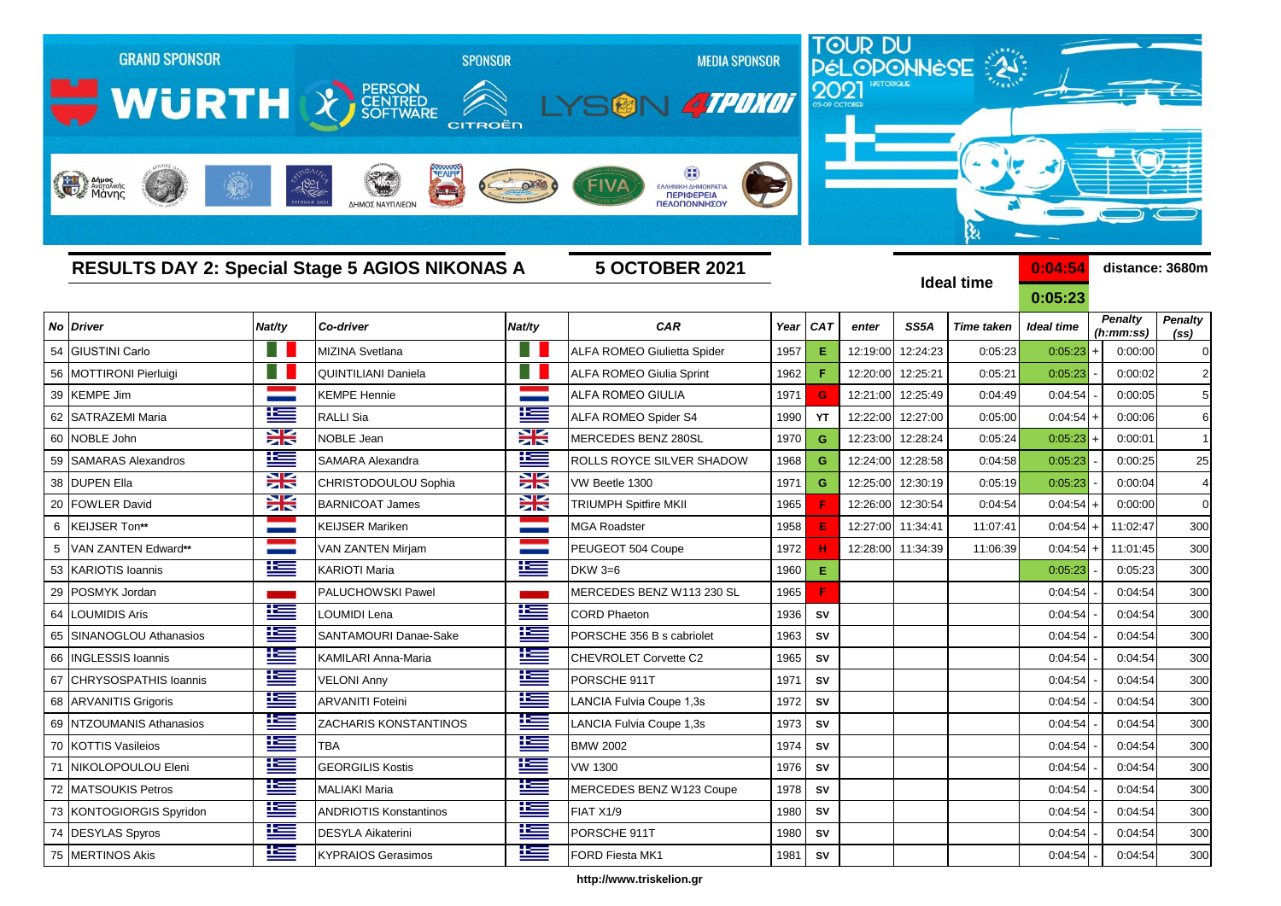